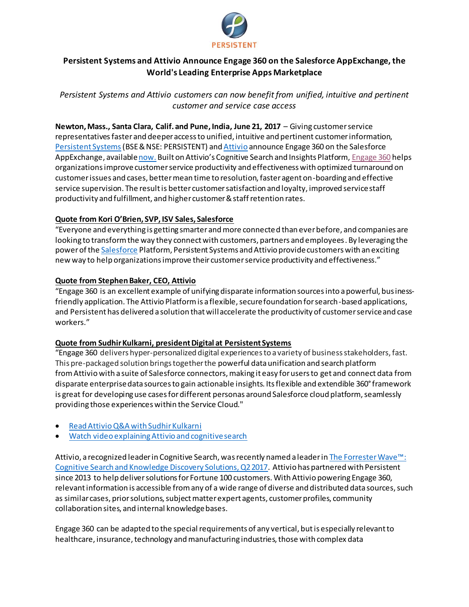

# **Persistent Systems and Attivio Announce Engage 360 on the Salesforce AppExchange, the World's Leading Enterprise Apps Marketplace**

*Persistent Systems and Attivio customers can now benefit from unified, intuitive and pertinent customer and service case access*

**Newton, Mass., Santa Clara, Calif. and Pune, India, June 21, 2017** – Giving customer service representativesfaster and deeper access to unified, intuitive and pertinent customer information, [Persistent Systems](http://www.persistent.com/)(BSE & NSE: PERSISTENT) an[d Attivio](http://www.attivio.com/) announce Engage 360 on the Salesforce AppExchange, availabl[e now](https://appexchange.salesforce.com/listingDetail?listingId=a0N3A00000EV5fsUAD). Built on Attivio's Cognitive Search and Insights Platform, [Engage 360](https://www.persistent.com/engage-360/) helps organizations improve customer service productivity and effectiveness with optimized turnaround on customer issues and cases, better mean time to resolution, faster agent on-boarding and effective service supervision. The result is better customer satisfaction and loyalty, improved service staff productivity and fulfillment, and higher customer & staff retention rates.

## **Quote from Kori O'Brien, SVP, ISV Sales, Salesforce**

"Everyone and everything is getting smarter and more connected than ever before, and companies are looking to transform the way they connect with customers, partners and employees. By leveraging the power of th[e Salesforce](http://www.salesforce.com/) Platform, Persistent Systems and Attivio provide customers with an exciting new way to help organizations improve their customer service productivity and effectiveness."

### **Quote from Stephen Baker, CEO, Attivio**

"Engage 360 is an excellent example of unifying disparate information sources into a powerful, businessfriendly application. The Attivio Platform is a flexible, secure foundation for search-based applications, and Persistent has delivered a solution that will accelerate the productivity of customer service and case workers."

#### **Quote from Sudhir Kulkarni, president Digital at Persistent Systems**

"Engage 360 delivers hyper-personalized digital experiences to a variety of business stakeholders, fast. This pre-packaged solution brings together the powerful data unification and search platform fromAttivio with a suite of Salesforce connectors, making it easy for users to get and connect data from disparate enterprise data sources to gain actionable insights. Its flexible and extendible 360° framework is great for developing use cases for different personas around Salesforce cloud platform, seamlessly providing those experiences within the Service Cloud."

- [Read Attivio Q&A with Sudhir Kulkarni](https://www.attivio.com/blog/post/qa-sudhir-kulkarni-president-digital-persistent-systems)
- [Watch video explaining Attivio and cognitive search](http://bit.ly/2rxvPXA)

Attivio, a recognized leader in Cognitive Search, was recently named a leader in [The Forrester Wave™:](https://www.attivio.com/learn/resources/report/forrester_wave_cognitive_search)  [Cognitive Search and Knowledge Discovery Solutions, Q2 2017.](https://www.attivio.com/learn/resources/report/forrester_wave_cognitive_search) Attivio has partnered with Persistent since 2013 to help deliver solutions for Fortune 100 customers. With Attivio powering Engage 360, relevant information is accessible from any of a wide range of diverse and distributed data sources, such as similar cases, prior solutions, subject matter expert agents, customer profiles, community collaboration sites, and internal knowledge bases.

Engage 360 can be adapted to the special requirements of any vertical, but is especially relevant to healthcare, insurance, technology and manufacturing industries, those with complex data